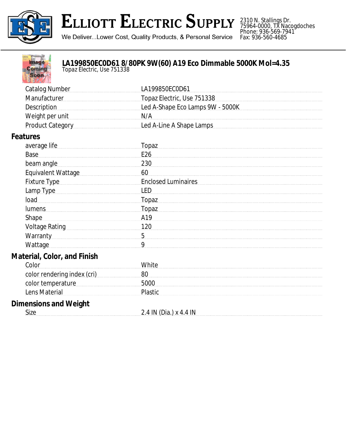

## ELLIOTT ELECTRIC SUPPLY

2310 N. Stallings Dr. 75964-0000, TX Nacogdoches Phone: 936-569-7941 Fax: 936-560-4685

We Deliver...Lower Cost, Quality Products, & Personal Service



## **LA199850EC0D61 8/80PK 9W(60) A19 Eco Dimmable 5000K Mol=4.35**

*Topaz Electric, Use 751338*

| <b>Catalog Number</b>                                                                                                                                                                                                          | LA199850EC0D61                   |
|--------------------------------------------------------------------------------------------------------------------------------------------------------------------------------------------------------------------------------|----------------------------------|
| Manufacturer                                                                                                                                                                                                                   | Topaz Electric, Use 751338       |
| <b>Description</b>                                                                                                                                                                                                             | Led A-Shape Eco Lamps 9W - 5000K |
| Weight per unit                                                                                                                                                                                                                | N/A                              |
| Product Category                                                                                                                                                                                                               | Led A-Line A Shape Lamps         |
| <b>Features</b>                                                                                                                                                                                                                |                                  |
| average life                                                                                                                                                                                                                   | Topaz                            |
| Base                                                                                                                                                                                                                           | E26                              |
| beam angle                                                                                                                                                                                                                     | 230                              |
| Equivalent Wattage                                                                                                                                                                                                             | 60                               |
| Fixture Type Manual Communication of Fixture Type                                                                                                                                                                              | <b>Enclosed Luminaires</b>       |
| Lamp Type example and the Type of the United States and Type and Type and Type and Type and Type and Type and Type and Type and Type and Type and Type and Type and Type and Type and Type and Type and Type and Type and Type | <b>LED</b>                       |
| load                                                                                                                                                                                                                           | Topaz                            |
| lumens                                                                                                                                                                                                                         | Topaz                            |
| <b>Shape</b>                                                                                                                                                                                                                   | A19                              |
| Voltage Rating Management Control Control Control Control Control Control Control Control Control Control Control Control Control Control Control Control Control Control Control Control Control Control Control Control Cont | 120                              |
| Warranty <b>Warranty</b>                                                                                                                                                                                                       | 5                                |
| Wattage                                                                                                                                                                                                                        | 9                                |
| <b>Material, Color, and Finish</b>                                                                                                                                                                                             |                                  |
| Color                                                                                                                                                                                                                          | White                            |
| color rendering index (cri)                                                                                                                                                                                                    | 80                               |
| color temperature                                                                                                                                                                                                              | 5000                             |
| Lens Material                                                                                                                                                                                                                  | Plastic                          |
| <b>Dimensions and Weight</b>                                                                                                                                                                                                   |                                  |
| Size                                                                                                                                                                                                                           | 2.4 IN (Dia.) x 4.4 IN           |
|                                                                                                                                                                                                                                |                                  |